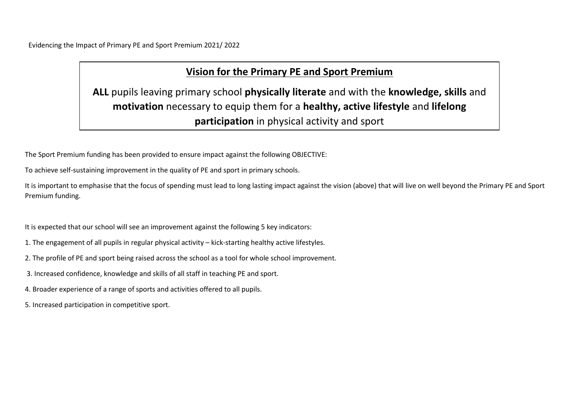Evidencing the Impact of Primary PE and Sport Premium 2021/ 2022

# **Vision for the Primary PE and Sport Premium**

**ALL** pupils leaving primary school **physically literate** and with the **knowledge, skills** and **motivation** necessary to equip them for a **healthy, active lifestyle** and **lifelong participation** in physical activity and sport

The Sport Premium funding has been provided to ensure impact against the following OBJECTIVE:

To achieve self-sustaining improvement in the quality of PE and sport in primary schools.

It is important to emphasise that the focus of spending must lead to long lasting impact against the vision (above) that will live on well beyond the Primary PE and Sport Premium funding.

It is expected that our school will see an improvement against the following 5 key indicators:

- 1. The engagement of all pupils in regular physical activity kick-starting healthy active lifestyles.
- 2. The profile of PE and sport being raised across the school as a tool for whole school improvement.
- 3. Increased confidence, knowledge and skills of all staff in teaching PE and sport.
- 4. Broader experience of a range of sports and activities offered to all pupils.
- 5. Increased participation in competitive sport.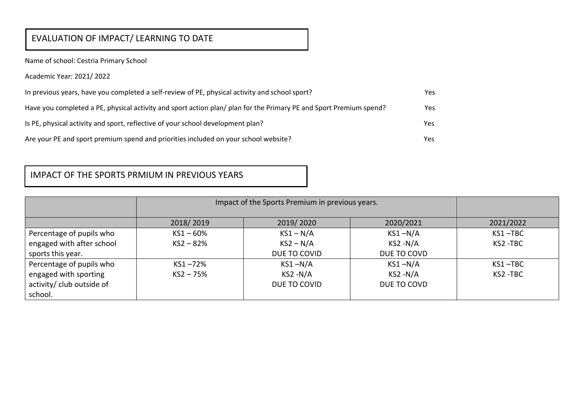# EVALUATION OF IMPACT/ LEARNING TO DATE

Name of school: Cestria Primary School

Academic Year: 2021/ 2022

| In previous years, have you completed a self-review of PE, physical activity and school sport?                     | Yes. |
|--------------------------------------------------------------------------------------------------------------------|------|
| Have you completed a PE, physical activity and sport action plan/ plan for the Primary PE and Sport Premium spend? | Yes  |
| Is PE, physical activity and sport, reflective of your school development plan?                                    | Yes  |
| Are your PE and sport premium spend and priorities included on your school website?                                | Yes  |

### IMPACT OF THE SPORTS PRMIUM IN PREVIOUS YEARS

|                           | Impact of the Sports Premium in previous years. |              |             |           |
|---------------------------|-------------------------------------------------|--------------|-------------|-----------|
|                           | 2018/2019                                       | 2019/2020    | 2020/2021   | 2021/2022 |
| Percentage of pupils who  | $KS1 - 60%$                                     | $KS1 - N/A$  | $KS1 - N/A$ | KS1-TBC   |
| engaged with after school | $KS2 - 82%$                                     | $KS2 - N/A$  | $KS2 - N/A$ | KS2-TBC   |
| sports this year.         |                                                 | DUE TO COVID | DUE TO COVD |           |
| Percentage of pupils who  | KS1-72%                                         | $KS1 - N/A$  | $KS1 - N/A$ | KS1-TBC   |
| engaged with sporting     | $KS2 - 75%$                                     | $KS2 - N/A$  | $KS2 - N/A$ | KS2-TBC   |
| activity/ club outside of |                                                 | DUE TO COVID | DUE TO COVD |           |
| school.                   |                                                 |              |             |           |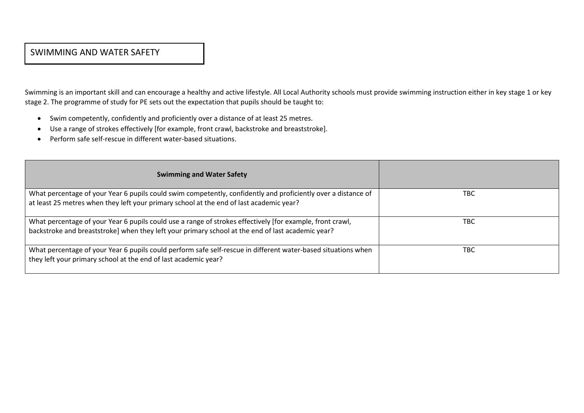#### SWIMMING AND WATER SAFETY

Swimming is an important skill and can encourage a healthy and active lifestyle. All Local Authority schools must provide swimming instruction either in key stage 1 or key stage 2. The programme of study for PE sets out the expectation that pupils should be taught to:

- Swim competently, confidently and proficiently over a distance of at least 25 metres.
- Use a range of strokes effectively [for example, front crawl, backstroke and breaststroke].
- Perform safe self-rescue in different water-based situations.

| <b>Swimming and Water Safety</b>                                                                              |     |
|---------------------------------------------------------------------------------------------------------------|-----|
| What percentage of your Year 6 pupils could swim competently, confidently and proficiently over a distance of | TBC |
| at least 25 metres when they left your primary school at the end of last academic year?                       |     |
| What percentage of your Year 6 pupils could use a range of strokes effectively [for example, front crawl,     | TBC |
| backstroke and breaststroke] when they left your primary school at the end of last academic year?             |     |
| What percentage of your Year 6 pupils could perform safe self-rescue in different water-based situations when | TBC |
| they left your primary school at the end of last academic year?                                               |     |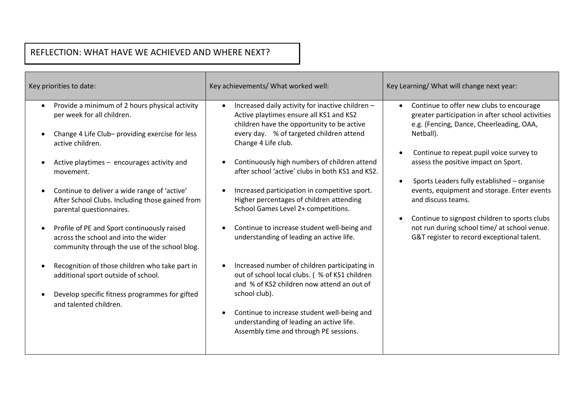## REFLECTION: WHAT HAVE WE ACHIEVED AND WHERE NEXT?

2019/2020

| Key priorities to date:                                                                                                                                                                                                                                                                                                                                                                                                                                                                            | Key achievements/ What worked well:                                                                                                                                                                                                                                                                                                                                                                                                                                                                                                             | Key Learning/ What will change next year:                                                                                                                                                                                                                                                                                                                                                                                                                                                                    |  |
|----------------------------------------------------------------------------------------------------------------------------------------------------------------------------------------------------------------------------------------------------------------------------------------------------------------------------------------------------------------------------------------------------------------------------------------------------------------------------------------------------|-------------------------------------------------------------------------------------------------------------------------------------------------------------------------------------------------------------------------------------------------------------------------------------------------------------------------------------------------------------------------------------------------------------------------------------------------------------------------------------------------------------------------------------------------|--------------------------------------------------------------------------------------------------------------------------------------------------------------------------------------------------------------------------------------------------------------------------------------------------------------------------------------------------------------------------------------------------------------------------------------------------------------------------------------------------------------|--|
| Provide a minimum of 2 hours physical activity<br>$\bullet$<br>per week for all children.<br>Change 4 Life Club- providing exercise for less<br>active children.<br>Active playtimes - encourages activity and<br>movement.<br>Continue to deliver a wide range of 'active'<br>After School Clubs. Including those gained from<br>parental questionnaires.<br>Profile of PE and Sport continuously raised<br>across the school and into the wider<br>community through the use of the school blog. | Increased daily activity for inactive children -<br>Active playtimes ensure all KS1 and KS2<br>children have the opportunity to be active<br>every day. % of targeted children attend<br>Change 4 Life club.<br>Continuously high numbers of children attend<br>after school 'active' clubs in both KS1 and KS2.<br>Increased participation in competitive sport.<br>Higher percentages of children attending<br>School Games Level 2+ competitions.<br>Continue to increase student well-being and<br>understanding of leading an active life. | Continue to offer new clubs to encourage<br>greater participation in after school activities<br>e.g. (Fencing, Dance, Cheerleading, OAA,<br>Netball).<br>Continue to repeat pupil voice survey to<br>assess the positive impact on Sport.<br>Sports Leaders fully established - organise<br>events, equipment and storage. Enter events<br>and discuss teams.<br>Continue to signpost children to sports clubs<br>not run during school time/ at school venue.<br>G&T register to record exceptional talent. |  |
| Recognition of those children who take part in<br>additional sport outside of school.<br>Develop specific fitness programmes for gifted<br>and talented children.                                                                                                                                                                                                                                                                                                                                  | Increased number of children participating in<br>out of school local clubs. (% of KS1 children<br>and % of KS2 children now attend an out of<br>school club).<br>Continue to increase student well-being and<br>understanding of leading an active life.<br>Assembly time and through PE sessions.                                                                                                                                                                                                                                              |                                                                                                                                                                                                                                                                                                                                                                                                                                                                                                              |  |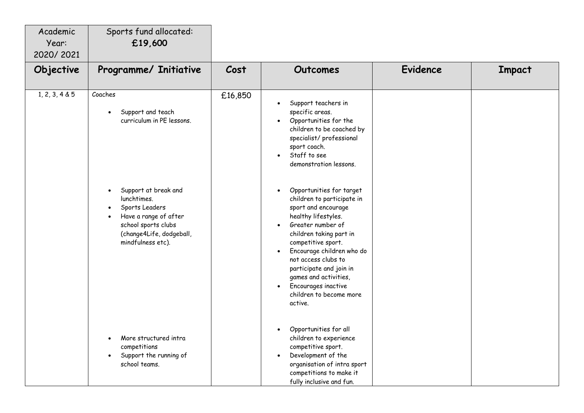| Academic<br>Year:<br>2020/2021 | Sports fund allocated:<br>£19,600                                                                                                                                                                                   |         |                                                                                                                                                                                                                                                                                                                                                                                                                                                                                                                                                                                                                     |                 |        |
|--------------------------------|---------------------------------------------------------------------------------------------------------------------------------------------------------------------------------------------------------------------|---------|---------------------------------------------------------------------------------------------------------------------------------------------------------------------------------------------------------------------------------------------------------------------------------------------------------------------------------------------------------------------------------------------------------------------------------------------------------------------------------------------------------------------------------------------------------------------------------------------------------------------|-----------------|--------|
| Objective                      | Programme/ Initiative                                                                                                                                                                                               | Cost    | <b>Outcomes</b>                                                                                                                                                                                                                                                                                                                                                                                                                                                                                                                                                                                                     | <b>Evidence</b> | Impact |
| 1, 2, 3, 4 & 5                 | Coaches<br>Support and teach<br>curriculum in PE lessons.<br>Support at break and<br>lunchtimes.<br>Sports Leaders<br>Have a range of after<br>school sports clubs<br>(change4Life, dodgeball,<br>mindfulness etc). | £16,850 | Support teachers in<br>$\bullet$<br>specific areas.<br>Opportunities for the<br>$\bullet$<br>children to be coached by<br>specialist/ professional<br>sport coach.<br>Staff to see<br>$\bullet$<br>demonstration lessons.<br>Opportunities for target<br>$\bullet$<br>children to participate in<br>sport and encourage<br>healthy lifestyles.<br>Greater number of<br>$\bullet$<br>children taking part in<br>competitive sport.<br>Encourage children who do<br>not access clubs to<br>participate and join in<br>games and activities,<br>Encourages inactive<br>$\bullet$<br>children to become more<br>active. |                 |        |
|                                | More structured intra<br>$\bullet$<br>competitions<br>Support the running of<br>school teams.                                                                                                                       |         | Opportunities for all<br>$\bullet$<br>children to experience<br>competitive sport.<br>Development of the<br>$\bullet$<br>organisation of intra sport<br>competitions to make it<br>fully inclusive and fun.                                                                                                                                                                                                                                                                                                                                                                                                         |                 |        |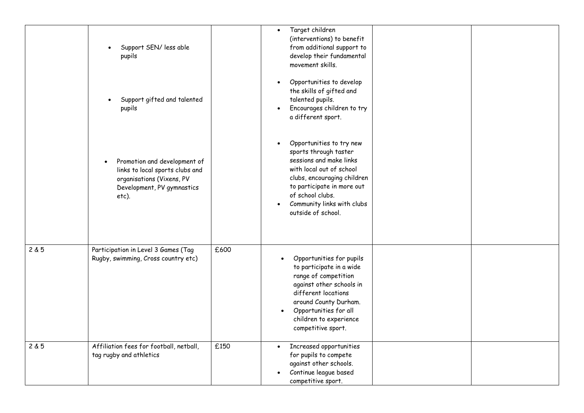|       | Support SEN/ less able<br>pupils                                                                                                    |      | Target children<br>$\bullet$<br>(interventions) to benefit<br>from additional support to<br>develop their fundamental<br>movement skills.                                                                                                     |
|-------|-------------------------------------------------------------------------------------------------------------------------------------|------|-----------------------------------------------------------------------------------------------------------------------------------------------------------------------------------------------------------------------------------------------|
|       | Support gifted and talented<br>pupils                                                                                               |      | Opportunities to develop<br>$\bullet$<br>the skills of gifted and<br>talented pupils.<br>Encourages children to try<br>a different sport.                                                                                                     |
|       | Promotion and development of<br>links to local sports clubs and<br>organisations (Vixens, PV<br>Development, PV gymnastics<br>etc). |      | Opportunities to try new<br>sports through taster<br>sessions and make links<br>with local out of school<br>clubs, encouraging children<br>to participate in more out<br>of school clubs.<br>Community links with clubs<br>outside of school. |
| 2 & 5 | Participation in Level 3 Games (Tag<br>Rugby, swimming, Cross country etc)                                                          | £600 | Opportunities for pupils<br>to participate in a wide<br>range of competition<br>against other schools in<br>different locations<br>around County Durham.<br>Opportunities for all<br>children to experience<br>competitive sport.             |
| 2 & 5 | Affiliation fees for football, netball,<br>tag rugby and athletics                                                                  | £150 | Increased opportunities<br>$\bullet$<br>for pupils to compete<br>against other schools.<br>Continue league based<br>competitive sport.                                                                                                        |